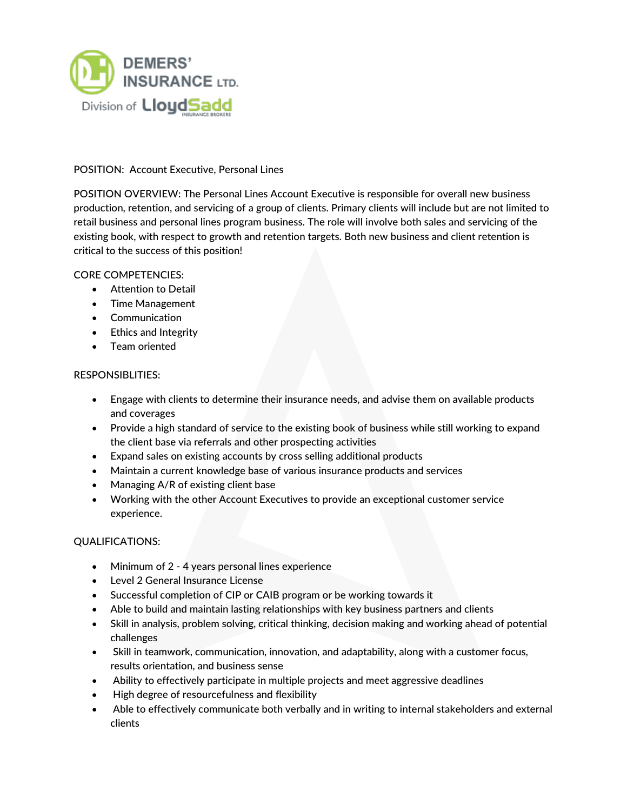

# POSITION: Account Executive, Personal Lines

POSITION OVERVIEW: The Personal Lines Account Executive is responsible for overall new business production, retention, and servicing of a group of clients. Primary clients will include but are not limited to retail business and personal lines program business. The role will involve both sales and servicing of the existing book, with respect to growth and retention targets. Both new business and client retention is critical to the success of this position!

## CORE COMPETENCIES:

- Attention to Detail
- Time Management
- Communication
- Ethics and Integrity
- Team oriented

## RESPONSIBLITIES:

- Engage with clients to determine their insurance needs, and advise them on available products and coverages
- Provide a high standard of service to the existing book of business while still working to expand the client base via referrals and other prospecting activities
- Expand sales on existing accounts by cross selling additional products
- Maintain a current knowledge base of various insurance products and services
- Managing A/R of existing client base
- Working with the other Account Executives to provide an exceptional customer service experience.

## QUALIFICATIONS:

- Minimum of 2 4 years personal lines experience
- Level 2 General Insurance License
- Successful completion of CIP or CAIB program or be working towards it
- Able to build and maintain lasting relationships with key business partners and clients
- Skill in analysis, problem solving, critical thinking, decision making and working ahead of potential challenges
- Skill in teamwork, communication, innovation, and adaptability, along with a customer focus, results orientation, and business sense
- Ability to effectively participate in multiple projects and meet aggressive deadlines
- High degree of resourcefulness and flexibility
- Able to effectively communicate both verbally and in writing to internal stakeholders and external clients